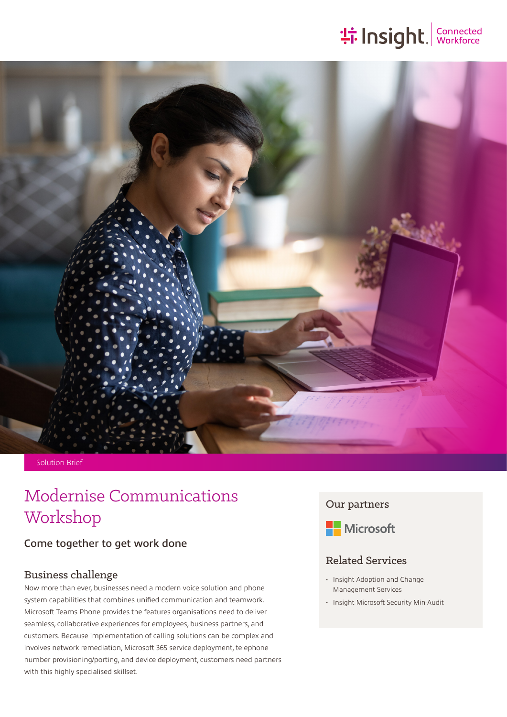# **: 1 Insight**. Sonnected



### Solution Brief

# Modernise Communications Workshop Communications Our partners<br>
Workshop

# Come together to get work done

## Business challenge

Now more than ever, businesses need a modern voice solution and phone system capabilities that combines unified communication and teamwork. Microsoft Teams Phone provides the features organisations need to deliver seamless, collaborative experiences for employees, business partners, and customers. Because implementation of calling solutions can be complex and involves network remediation, Microsoft 365 service deployment, telephone number provisioning/porting, and device deployment, customers need partners with this highly specialised skillset.



# Related Services

- Insight Adoption and Change Management Services
- Insight Microsoft Security Min-Audit